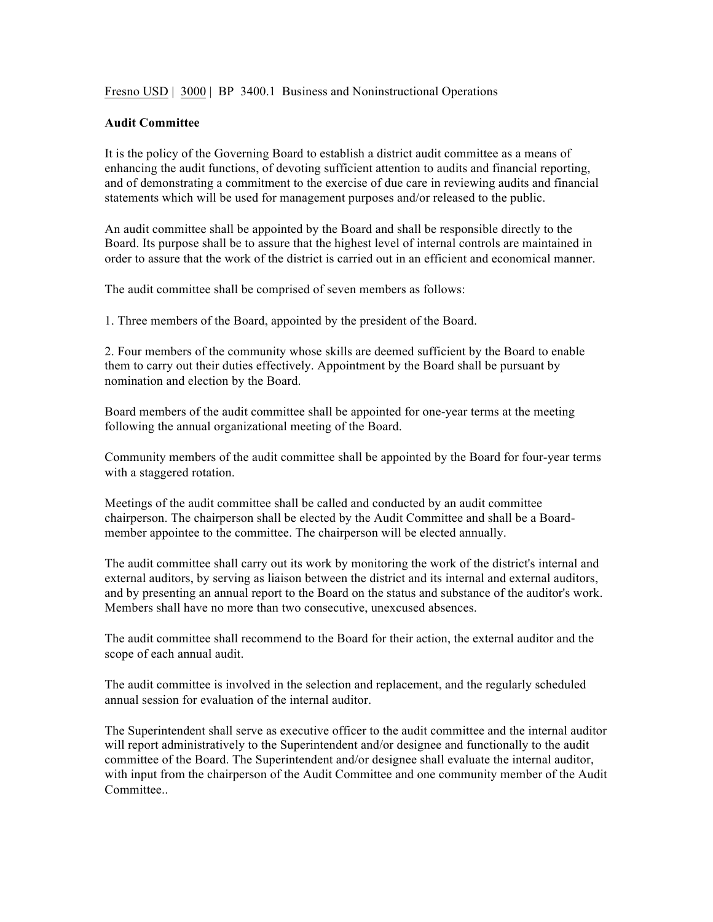Fresno USD | 3000 | BP 3400.1 Business and Noninstructional Operations

## **Audit Committee**

It is the policy of the Governing Board to establish a district audit committee as a means of enhancing the audit functions, of devoting sufficient attention to audits and financial reporting, and of demonstrating a commitment to the exercise of due care in reviewing audits and financial statements which will be used for management purposes and/or released to the public.

An audit committee shall be appointed by the Board and shall be responsible directly to the Board. Its purpose shall be to assure that the highest level of internal controls are maintained in order to assure that the work of the district is carried out in an efficient and economical manner.

The audit committee shall be comprised of seven members as follows:

1. Three members of the Board, appointed by the president of the Board.

2. Four members of the community whose skills are deemed sufficient by the Board to enable them to carry out their duties effectively. Appointment by the Board shall be pursuant by nomination and election by the Board.

Board members of the audit committee shall be appointed for one-year terms at the meeting following the annual organizational meeting of the Board.

Community members of the audit committee shall be appointed by the Board for four-year terms with a staggered rotation.

Meetings of the audit committee shall be called and conducted by an audit committee chairperson. The chairperson shall be elected by the Audit Committee and shall be a Boardmember appointee to the committee. The chairperson will be elected annually.

The audit committee shall carry out its work by monitoring the work of the district's internal and external auditors, by serving as liaison between the district and its internal and external auditors, and by presenting an annual report to the Board on the status and substance of the auditor's work. Members shall have no more than two consecutive, unexcused absences.

The audit committee shall recommend to the Board for their action, the external auditor and the scope of each annual audit.

The audit committee is involved in the selection and replacement, and the regularly scheduled annual session for evaluation of the internal auditor.

The Superintendent shall serve as executive officer to the audit committee and the internal auditor will report administratively to the Superintendent and/or designee and functionally to the audit committee of the Board. The Superintendent and/or designee shall evaluate the internal auditor, with input from the chairperson of the Audit Committee and one community member of the Audit Committee..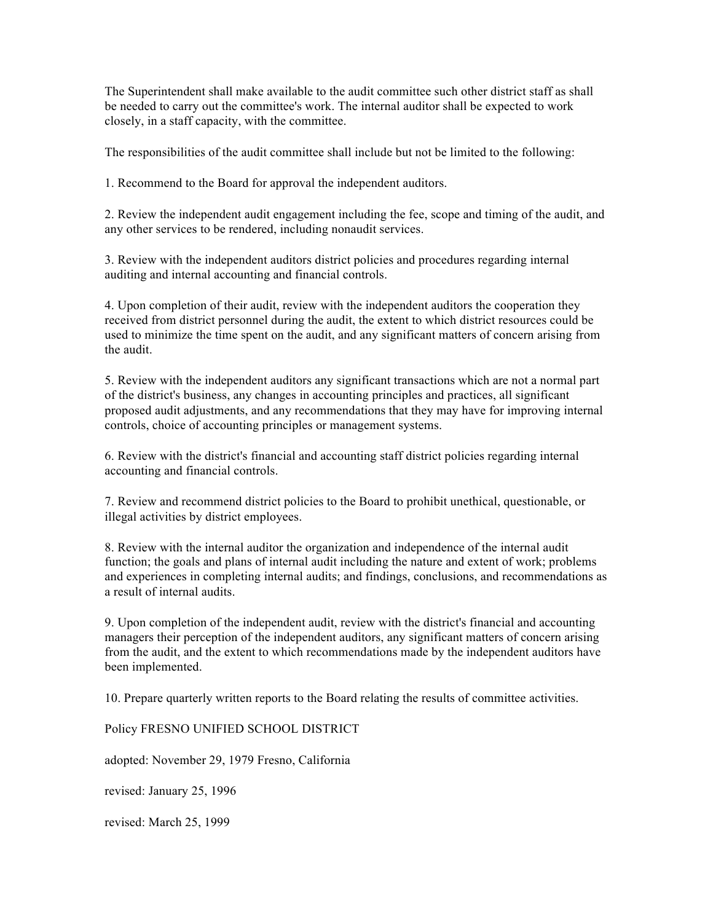The Superintendent shall make available to the audit committee such other district staff as shall be needed to carry out the committee's work. The internal auditor shall be expected to work closely, in a staff capacity, with the committee.

The responsibilities of the audit committee shall include but not be limited to the following:

1. Recommend to the Board for approval the independent auditors.

2. Review the independent audit engagement including the fee, scope and timing of the audit, and any other services to be rendered, including nonaudit services.

3. Review with the independent auditors district policies and procedures regarding internal auditing and internal accounting and financial controls.

4. Upon completion of their audit, review with the independent auditors the cooperation they received from district personnel during the audit, the extent to which district resources could be used to minimize the time spent on the audit, and any significant matters of concern arising from the audit.

5. Review with the independent auditors any significant transactions which are not a normal part of the district's business, any changes in accounting principles and practices, all significant proposed audit adjustments, and any recommendations that they may have for improving internal controls, choice of accounting principles or management systems.

6. Review with the district's financial and accounting staff district policies regarding internal accounting and financial controls.

7. Review and recommend district policies to the Board to prohibit unethical, questionable, or illegal activities by district employees.

8. Review with the internal auditor the organization and independence of the internal audit function; the goals and plans of internal audit including the nature and extent of work; problems and experiences in completing internal audits; and findings, conclusions, and recommendations as a result of internal audits.

9. Upon completion of the independent audit, review with the district's financial and accounting managers their perception of the independent auditors, any significant matters of concern arising from the audit, and the extent to which recommendations made by the independent auditors have been implemented.

10. Prepare quarterly written reports to the Board relating the results of committee activities.

Policy FRESNO UNIFIED SCHOOL DISTRICT

adopted: November 29, 1979 Fresno, California

revised: January 25, 1996

revised: March 25, 1999